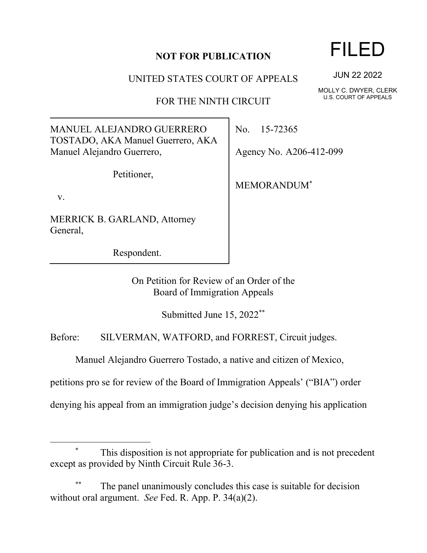## **NOT FOR PUBLICATION**

UNITED STATES COURT OF APPEALS

FOR THE NINTH CIRCUIT

MANUEL ALEJANDRO GUERRERO TOSTADO, AKA Manuel Guerrero, AKA Manuel Alejandro Guerrero,

Petitioner,

v.

MERRICK B. GARLAND, Attorney General,

Respondent.

No. 15-72365

Agency No. A206-412-099

MEMORANDUM\*

On Petition for Review of an Order of the Board of Immigration Appeals

Submitted June 15, 2022\*\*

Before: SILVERMAN, WATFORD, and FORREST, Circuit judges.

Manuel Alejandro Guerrero Tostado, a native and citizen of Mexico,

petitions pro se for review of the Board of Immigration Appeals' ("BIA") order

denying his appeal from an immigration judge's decision denying his application

## This disposition is not appropriate for publication and is not precedent except as provided by Ninth Circuit Rule 36-3.

The panel unanimously concludes this case is suitable for decision without oral argument. *See* Fed. R. App. P. 34(a)(2).

## FILED

JUN 22 2022

MOLLY C. DWYER, CLERK U.S. COURT OF APPEALS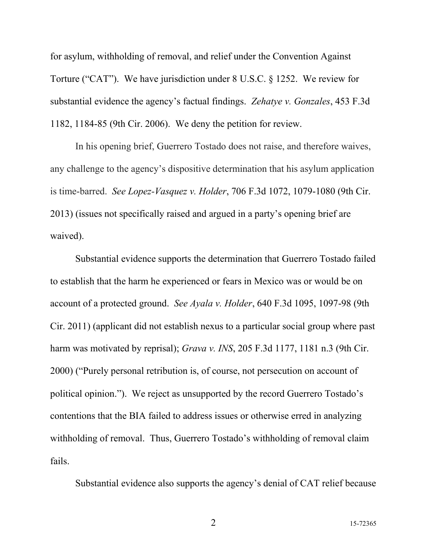for asylum, withholding of removal, and relief under the Convention Against Torture ("CAT"). We have jurisdiction under 8 U.S.C. § 1252. We review for substantial evidence the agency's factual findings. *Zehatye v. Gonzales*, 453 F.3d 1182, 1184-85 (9th Cir. 2006). We deny the petition for review.

In his opening brief, Guerrero Tostado does not raise, and therefore waives, any challenge to the agency's dispositive determination that his asylum application is time-barred. *See Lopez-Vasquez v. Holder*, 706 F.3d 1072, 1079-1080 (9th Cir. 2013) (issues not specifically raised and argued in a party's opening brief are waived).

Substantial evidence supports the determination that Guerrero Tostado failed to establish that the harm he experienced or fears in Mexico was or would be on account of a protected ground. *See Ayala v. Holder*, 640 F.3d 1095, 1097-98 (9th Cir. 2011) (applicant did not establish nexus to a particular social group where past harm was motivated by reprisal); *Grava v. INS*, 205 F.3d 1177, 1181 n.3 (9th Cir. 2000) ("Purely personal retribution is, of course, not persecution on account of political opinion."). We reject as unsupported by the record Guerrero Tostado's contentions that the BIA failed to address issues or otherwise erred in analyzing withholding of removal. Thus, Guerrero Tostado's withholding of removal claim fails.

Substantial evidence also supports the agency's denial of CAT relief because